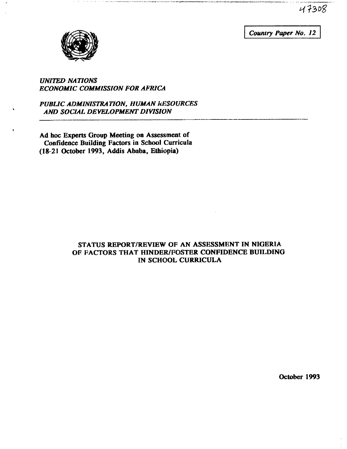47308

Country Paper No. 12



### UNITED NATIONS ECONOMIC COMMISSION FOR AFRICA

PUBLIC ADMINISTRATION, HUMAN kESOURCES AND SOCIAL DEVELOPMENT DIVISION

Ad hoc Experts Group Meeting on Assessment of Confidence Building Factors in School Curricula (18 21 October 1993, Addis Ababa, Ethiopia)

### STATUS REPORT/REVIEW OF AN ASSESSMENT IN NIGERIA OF FACTORS THAT HINDER/FOSTER CONFIDENCE BUILDING IN SCHOOL CURRICULA

October 1993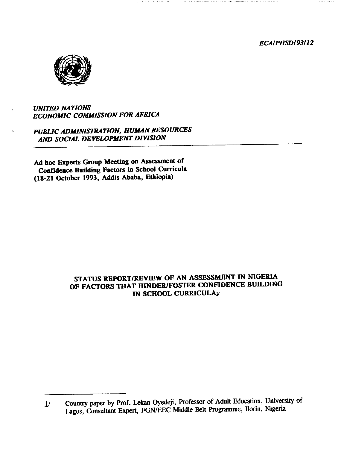ECAIPHSDI93I12



### UNITED NATIONS ECONOMIC COMMISSION FOR AFRICA

PUBLIC ADMINISTRATION, HUMAN RESOURCES AND SOCIAL DEVELOPMENT DIVISION

Ad hoc Experts Group Meeting on Assessment of Confidence Building Factors in School Curricula (18-21 October 1993, Addis Ababa, Ethiopia)

## STATUS REPORT/REVIEW OF AN ASSESSMENT IN NIGERIA OF FACTORS THAT HINDER/FOSTER CONFIDENCE BUILDING IN SCHOOL CURRICULAu

<sup>1/</sup> Country paper by Prof. Lekan Oyedeji, Professor of Adult Education, University of Lagos, Consultant Expert, FGN/EEC Middle Belt Programme, Ilorin, Nigeria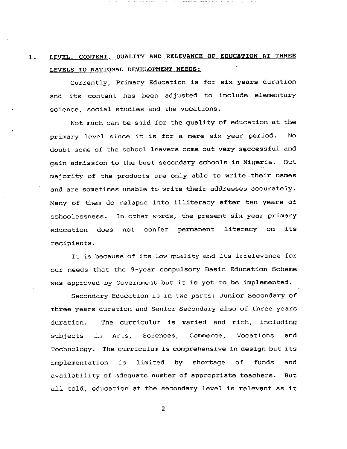# 1. LEVEL, CONTENT, QUALITY AND RELEVANCE OF EDUCATION AT THREE LEVELS TO NATIONAL DEVELOPMENT NEEDS:

Currently, Primary Education is for six years duration and its content has been adjusted to include elementary science, social studies and the vocations.

Not much can be said for the quality of education at the primary level since it is for a mere six year period. No doubt some of the school leavers come out very successful and gain admission to the best secondary schools in Nigeria. But majority of the products are only able to write .their names and are sometimes unable to write their addresses accurately. Many of them do relapse into illiteracy after ten years of schoolessness. In other words, the present six year primary education does not confer permanent literacy on its recipients.

It is because of its low quality and its irrelevance for our needs that the 9-year compulsory Basic Education Scheme was approved by Government but it is yet to be implemented.

Secondary Education is in two parts: Junior Secondary of three years duration and Senior Secondary also of three years duration. The curriculum is varied and rich, including subjects in Arts, Sciences, Commerce, Vocations and Technology. The curriculum is comprehensive in design but its implementation is limited by shortage of funds and availability of adequate number of appropriate teachers. But all told, education at the secondary level is relevant as it

 $\overline{a}$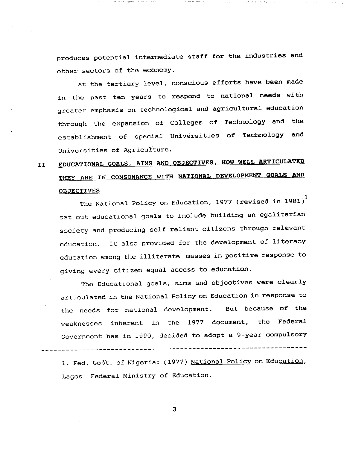produces potential intermediate staff for the industries and other sectors of the economy.

At the tertiary level, conscious efforts have been made in the past ten years to respond to national needs with greater emphasis on technological and agricultural education through the expansion of Colleges of Technology and the establishment of special Universities of Technology and Universities of Agriculture.

# II EDUCATIONAL GORLS, RIMS AND OBJECTIVES. HOW WELL ARTICULATED THEY ARE IN CONSONANCE WITH NATIONAL DEVELOPMENT GOALS AND OBJECTIVES

The National Policy on Education, 1977 (revised in 1981) $^{\rm l}$ set out educational goals to include building an egalitarian society and producing self reliant citizens through relevant education. It also provided for the development of literacy education among the illiterate masses in positive response to giving every citizen equal access to education.

The Educational goals, aims and objectives were clearly articulated in the National Policy on Education in response to the needs for national development. But because of the weaknesses inherent in the 1977 document, the Federal Government has in 1990, decided to adopt a 9-year compulsory

1. Fed. GoVt. of Nigeria: (1977) National Policy on Education, Lagos, Federal Ministry of Education.

3

---------------------------------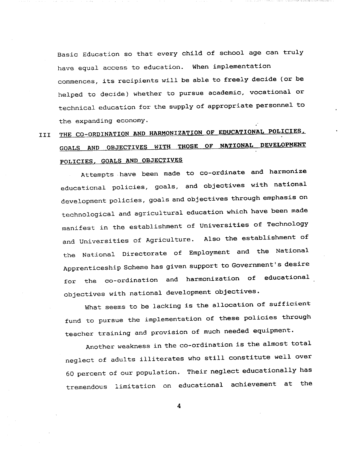Basic Education so that every child of school age can truly have equal access to education. When implementation commences, its recipients will be able to freely decide (or be helped to decide) whether to pursue academic, vocational or technical education for the supply of appropriate personnel to the expanding economy.

# THE CO-ORDINATION AND HARMONIZATION OF EDUCATIONAL POLICIES, III GOALS AND OBJECTIVES WITH THOSE OF NATIONAL DEVELOPMENT POLICIES, GOALS AND OBJECTIVES

Attempts have been made to co-ordinate and harmonize educational policies, goals, and objectives with national development policies, goals and objectives through emphasis on technological and agricultural education which have been made manifest in the establishment of Universities of Technology and Universities of Agriculture. Also the establishment of the National Directorate of Employment and the National Apprenticeship Scheme has given support to Government's desire for the co-ordination and harmonization of educational objectives with national development objectives.

What seems to be lacking is the allocation of sufficient fund to pursue the implementation of these policies through teacher training and provision of much needed equipment.

Another weakness in the co-ordination is the almost total neglect of adults illiterates who still constitute well over 60 percent of our population. Their neglect educationally has tremendous limitation on educational achievement at the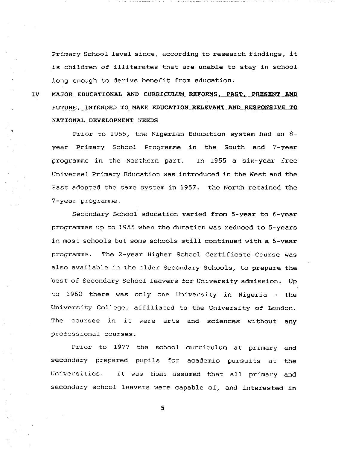Primary School level since, according to research findings, it is children of illiterates that are unable to stay in school long enough to derive benefit from education.

# IV MAJOR EDUCATIONAL AND CURRICULUM REFORMS, PAST, PRESENT AND FUTURE, INTENDED TO MAKE EDUCATION RELEVANT AND RESPONSIVE TO NATIONAL DEVELOPMENT NEEDS

Prior to 1955, the Nigerian Education system had an 8year Primary School Programme in the South and 7-year programme in the Northern part. In 1955 a six-year free Universal Primary Education was introduced in the West and the East adopted the same system in 1957. the North retained the 7-year programme.

Secondary School education varied from 5-year to 6-year programmes up to 1955 when the duration was reduced to 5-years in most schools but some schools still continued with a 6-year programme. The 2-year Higher School Certificate Course was also available in the older Secondary Schools, to prepare the best of Secondary School leavers for University admission. Up to 1960 there was only one University in Nigeria  $-$  The University College, affiliated to the University of London. The courses in it were arts and sciences without any professional courses.

Prior to 1977 the school curriculum at primary and secondary prepared pupils for academic pursuits at the Universities. It was then assumed that all primary and secondary school leavers were capable of, and interested in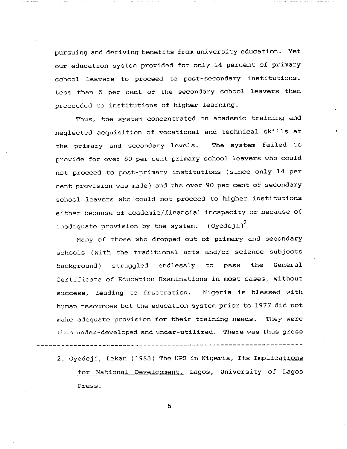pursuing and deriving benefits from university education. Yet our education system provided for only 14 percent of primary school leavers to proceed to post-secondary institutions. Less than 5 per cent of the secondary school leavers then proceeded to institutions of higher learning.

Thus, the system concentrated on academic training and neglected acquisition of vocational and technical skills at the primary and secondary levels. The system failed to provide for over 80 per cent primary school leavers who could not proceed to post-primary institutions (since only 14 per cent provision was made) and the over 90 per cent of secondary school leavers who could not proceed to higher institutions either because of academic/financial incapacity or because of inadequate provision by the system. (Oyedeji)<sup>2</sup>

Many of those who dropped out of primary and secondary schools (with the traditional arts and/or science subjects background) struggled endlessly to pass the General Certificate of Education Examinations in most cases, without success, leading to frustration. Nigeria is blessed with human resources but the education system prior to 1977 did not make adequate provision for their training needs. They were thus under-developed and under-utilized. There was thus gross

2. Oyedeji, Lekan (1983) The UPE in Nigeria, Its Implications for National Development, Lagos, University of Lagos Press.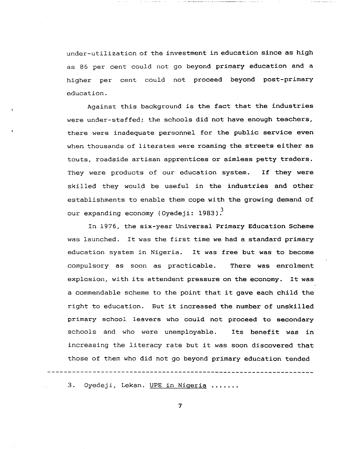under-utilization of the investment in education since as high as 86 per cent could not go beyond primary education and a higher per cent could not proceed beyond post-primary education.

Against this background is the fact that the industries were under-staffed; the schools did not have enough teachers, there were inadequate personnel for the public service even when thousands of literates were roaming the streets either as touts, roadside artisan apprentices or aimless petty traders. They were products of our education system. If they were skilled they would be useful in the industries and other establishments to enable them cope with the growing demand of our expanding economy (Oyedeji: 1983).

In 1976, the six-year Universal Primary Education Scheme was launched. It was the first time we had standard primary education system in Nigeria. It was free but was to become compulsory as soon as practicable. There was enrolment explosion, with its attendent pressure on the economy. It was commendable scheme to the point that it gave each child the right to education. But it increased the number of unskilled primary school leavers who could not proceed to secondary schools and who were unemployable. Its benefit was in increasing the literacy rate but it was soon discovered that those of them who did not go beyond primary education tended

3. Oyedeji, Lekan. UPE in Nigeria ......

7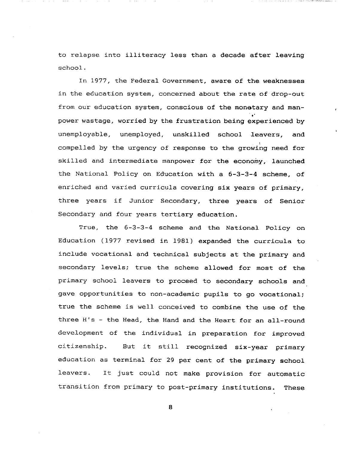to relapse into illiteracy less than a decade after leaving school.

In 1977, the Federal Government, aware of the weaknesses in the education system, concerned about the rate of drop-out from our education system, conscious of the monetary and manpower wastage, worried by the frustration being experienced by unemployable, unemployed, unskilled school leavers, and compelled by the urgency of response to the growing need for skilled and intermediate manpower for the economy, launched the National Policy on Education with 6-3-3-4 scheme, of enriched and varied curricula covering six years of primary, three years if Junior Secondary, three years of Senior Secondary and four years tertiary education.

True, the 6-3-3-4 scheme and the National Policy on Education (1977 revised in 1981) expanded the curricula to include vocational and technical subjects at the primary and secondary levels; true the scheme allowed for most of the primary school leavers to proceed to secondary schools and gave opportunities to non-academic pupils to go vocational; true the scheme is well conceived to combine the use of the three H's - the Head, the Hand and the Heart for an all-round development of the individual in preparation for improved citizenship. But it still recognized six-year primary education as terminal for 29 per cent of the primary school leavers. It just could not make provision for automatic transition from primary to post-primary institutions. These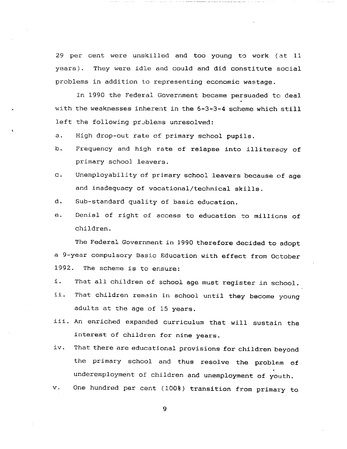29 per cent were unskilled and too young to work (at 11 years). They were idle and could and did constitute social problems in addition to representing economic wastage.

In 1990 the Federal Government became persuaded to deal with the weaknesses inherent in the 6-3-3-4 scheme which still left the following problems unresolved:

a. High drop-out rate of primary school pupils.

- b. Frequency and high rate of relapse into illiteracy of primary school leavers.
- c. Unemployability of primary school leavers because of age and inadequacy of vocational/technical skills.
- d. Sub-standard quality of basic education.
- e. Denial of right of access to education to millions of children.

The Federal Government in 1990 therefore decided to adopt 9-year compulsory Basic Education with effect from October 1992. The scheme is to ensure:

- i. That all children of school age must register in school.
- ii. That children remain in school until they become young adults at the age of 15 years.
- iii. An enriched expanded curriculum that will sustain the interest of children for nine years.
- iv. That there are educational provisions for children beyond the primary school and thus resolve the problem of underemployment of children and unemployment of youth,
- v. One hundred per cent (100%) transition from primary to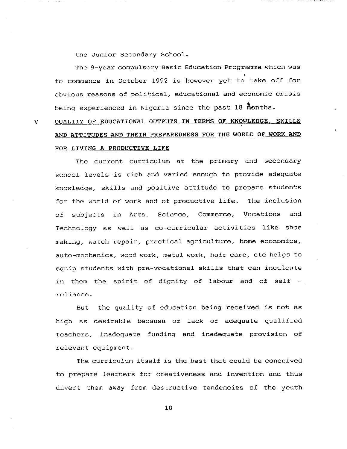the Junior Secondary School.

 $\overline{\mathbf{V}}$ 

The 9-year compulsory Basic Education Programme which was to commence in October 1992 is however yet to take off for obvious reasons of political, educational and economic crisis being experienced in Nigeria since the past 18 months.

QUALITY OF EDUCATIONAL OUTPUTS IN TERMS OF KNOWLEDGE, SKILLS AND ATTITUDES AND THEIR PREPAREDNESS FOR THE WORLD OF WORK AND FOR LIVING A PRODUCTIVE LIFE

The current curriculum at the primary and secondary school levels is rich and varied enough to provide adequate knowledge, skills and positive attitude to prepare students for the world of work and of productive life. The inclusion of subjects in Arts, Science, Commerce, Vocations and Technology as well as co-curricular activities like shoe making, watch repair, practical agriculture, home economics, auto-mechanics, wood work, metal work, hair care, etc helps to equip students with pre-vocational skills that can inculcate in them the spirit of dignity of labour and of self reliance.

But the quality of education being received is not as high as desirable because of lack of adequate qualified teachers, inadequate funding and inadequate provision of relevant equipment.

The curriculum itself is the best that could be conceived to prepare learners for creativeness and invention and thus divert them away from destructive tendencies of the youth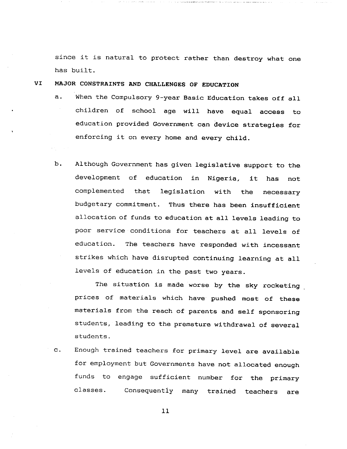since it is natural to protect rather than destroy what one has built.

VI MAJOR CONSTRAINTS AND CHALLENGES OF EDUCATION

- a. When the Compulsory 9-year Basic Education takes off all children of school age will have equal access to education provided Government can device strategies for enforcing it on every home and every child.
- b. Although Government has given legislative support to the development of education in Nigeria, it has not complemented that legislation with the necessary budgetary commitment. Thus there has been insufficient allocation of funds to education at all levels leading to poor service conditions for teachers at all levels of education. The teachers have responded with incessant strikes which have disrupted continuing learning at all levels of education in the past two years.

The situation is made worse by the sky rocketing prices of materials which have pushed most of these materials from the reach of parents and self sponsoring students, leading to the premature withdrawal of several students.

c. Enough trained teachers for primary level are available for employment but Governments have not allocated enough funds to engage sufficient number for the primary classes. Consequently many trained teachers are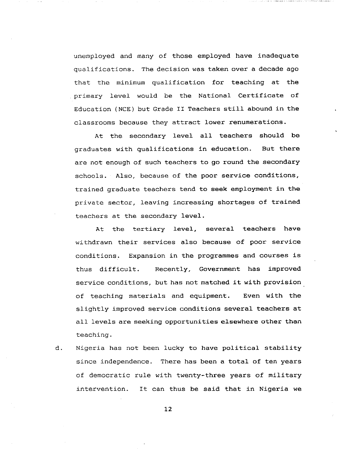unemployed and many of those employed have inadequate qualifications. The decision was taken over a decade ago that the minimum qualification for teaching at the primary level would be the National Certificate of Education (NCE) but Grade II Teachers still abound in the classrooms because they attract lower renumerations.

At the secondary level all teachers should be graduates with qualifications in education. But there are not enough of such teachers to go round the secondary schools. Also, because of the poor service conditions, trained graduate teachers tend to seek employment in the private sector, leaving increasing shortages of trained teachers at the secondary level.

At the tertiary level, several teachers have withdrawn their services also because of poor service conditions. Expansion in the programmes and courses is thus difficult. Recently, Government has improved service conditions, but has not matched it with provision of teaching materials and equipment. Even with the slightly improved service conditions several teachers at all levels are seeking opportunities elsewhere other than teaching.

d. Nigeria has not been lucky to have political stability since independence. There has been a total of ten years of democratic rule with twenty-three years of military intervention. It can thus be said that in Nigeria we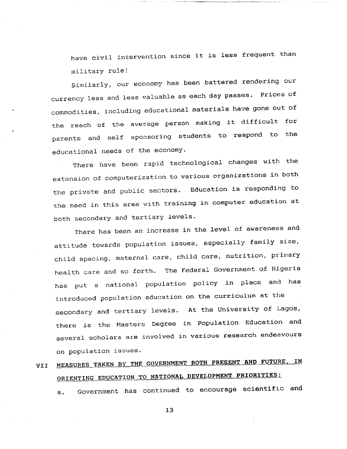have civil intervention since it is less frequent than military rule!

Similarly, our economy has been battered rendering our currency less and less valuable as each day passes. Prices of commodities, including educational materials have gone out of the reach of the average person making it difficult for parents and self sponsoring students to respond to the educational needs of the economy.

There have been rapid technological changes with the extension of computerization to various organizations in both the private and public sectors. Education is responding to the need in this area with training in computer education at both secondary and tertiary levels.

There has been an increase in the level of awareness and attitude towards population issues, especially family size, child spacing, maternal care, child care, nutrition, primary health care and so forth. The Federal Government of Nigeria has put a national population policy in place and has introduced population education on the curriculum at the secondary and tertiary levels. At the University of Lagos, there is the Masters Degree in Population Education and several scholars are involved in various research endeavours on population issues.

# VII MEASURES TAKEN BY THE GOVERNMENT BOTH PRESENT AND FUTURE, IN ORIENTING EDUCATION TO NATIONAL DEVELOPMENT PRIORITIES:

a. Government has continued to encourage scientific and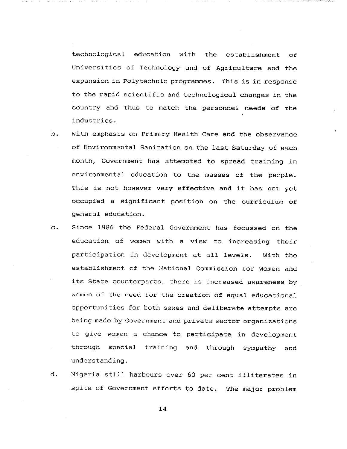technological education with the establishment of Universities of Technology and of Agriculture and the expansion in Polytechnic programmes. This is in response to the rapid scientific and technological changes in the country and thus to match the personnel needs of the industries.

- b. With emphasis on Primary Health Care and the observance of Environmental Sanitation on the last Saturday of each month, Government has attempted to spread training in environmental education to the masses of the people. This is not however very effective and it has not yet occupied a significant position on the curriculum of general education.
- c. Since 1986 the Federal Government has focussed on the education of women with a view to increasing their participation in development at all levels. With the establishment of the National Commission for Women and its State counterparts, there is increased awareness by women of the need for the creation of equal educational opportunities for both sexes and deliberate attempts are being made by Government and private sector organizations to give women a chance to participate in development through special training and through sympathy and understanding.
- d. Nigeria still harbours over 60 per cent illiterates in spite of Government efforts to date. The major problem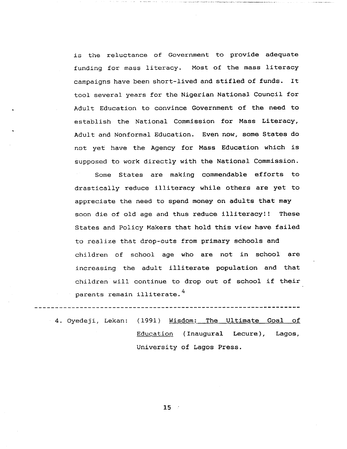is the reluctance of Government to provide adequate funding for mass literacy. Most of the mass literacy campaigns have been short-lived and stifled of funds. It tool several years for the Nigerian National Council for Adult Education to convince Government of the need to establish the National Commission for Mass Literacy, Adult and Nonformal Education. Even now, some States do not yet have the Agency for Mass Education which is supposed to work directly with the National Commission.

Some States are making commendable efforts to drastically reduce illiteracy while others are yet to appreciate the need to spend money on adults that may soon die of old age and thus reduce illiteracy!! These States and Policy Makers that hold this view have failed to realize that drop-outs from primary schools and children of school age who are not in school are increasing the adult illiterate population and that children will continue to drop out of school if their parents remain illiterate.<sup>4</sup>

4. Oyedeji, Lekan: (1991) Wisdom: The Ultimate Goal of Education (Inaugural Lecure), Lagos, University of Lagos Press.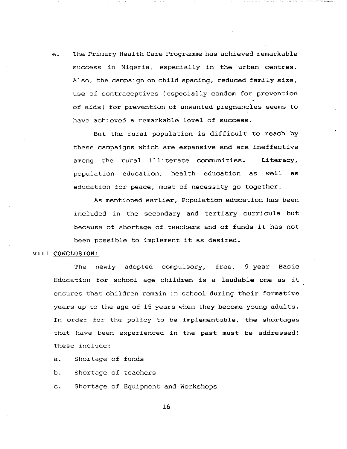e. The Primary Health Care Programme has achieved remarkable success in Nigeria, especially in the urban centres. Also, the campaign on child spacing, reduced family size, use of contraceptives (especially condom for prevention of aids) for prevention of unwanted pregnancies seems to have achieved a remarkable level of success.

But the rural population is difficult to reach by these campaigns which are expansive and are ineffective among the rural illiterate communities. Literacy, population education, health education as well as education for peace, must of necessity go together.

As mentioned earlier, Population education has been included in the secondary and tertiary curricula but because of shortage of teachers and of funds it has not been possible to implement it as desired.

#### VIII CONCLUSION:

The newly adopted compulsory, free, 9-year Basic Education for school age children is a laudable one as it ensures that children remain in school during their formative years up to the age of 15 years when they become young adults. In order for the policy to be implementable, the shortages that have been experienced in the past must be addressed! These include:

- a. Shortage of funds
- b. Shortage of teachers
- c. Shortage of Equipment and Workshops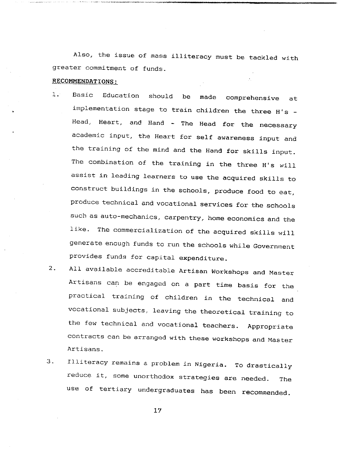Also, the issue of mass illiteracy must be tackled with greater commitment of funds.

#### RECOMMENDATIONS:

- 1. Basic Education should be made comprehensive at implementation stage to train children the three H's -Head, Heart, and Hand - The Head for the necessary academic input, the Heart for self awareness input and the training of the mind and the Hand for skills input. The combination of the training in the three H's will assist in leading learners to use the acquired skills to construct buildings in the schools, produce food to eat, produce technical and vocational services for the schools such as auto-mechanics, carpentry, home economics and the like. The commercialization of the acquired skills will generate enough funds to run the schools while Government provides funds for capital expenditure.
- 2. All available accreditable Artisan Workshops and Master Artisans can be engaged on a part time basis for the practical training of children in the technical and vocational subjects, leaving the theoretical training to the few technical and vocational teachers. Appropriate contracts can be arranged with these workshops and Master Artisans.
- 3. Illiteracy remains a problem in Nigeria. To drastically reduce it, some unorthodox strategies are needed. The use of tertiary undergraduates has been recommended.